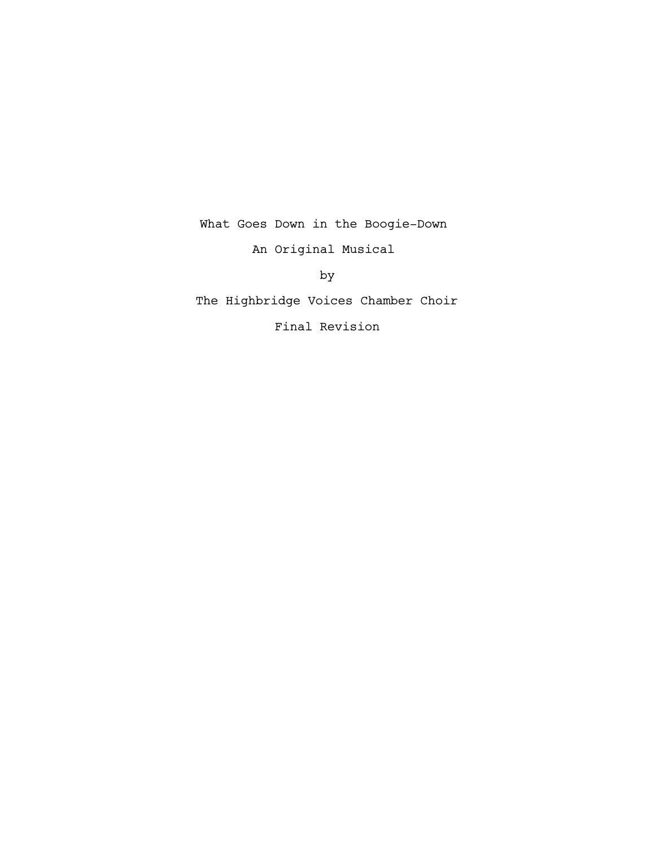What Goes Down in the Boogie-Down An Original Musical

by

The Highbridge Voices Chamber Choir

Final Revision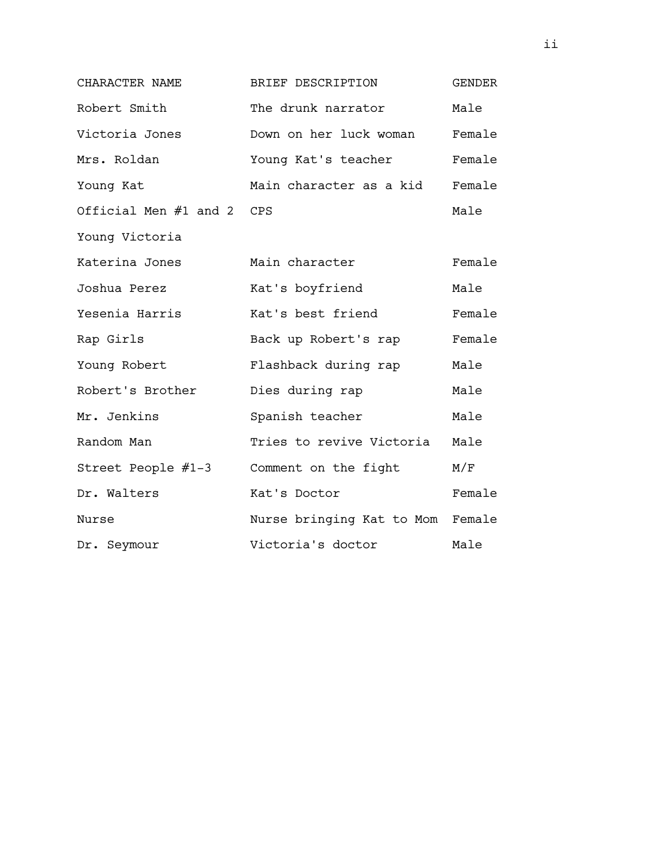| CHARACTER NAME            | BRIEF DESCRIPTION                | GENDER |
|---------------------------|----------------------------------|--------|
| Robert Smith              | The drunk narrator               | Male   |
| Victoria Jones            | Down on her luck woman           | Female |
| Mrs. Roldan               | Young Kat's teacher              | Female |
| Young Kat                 | Main character as a kid          | Female |
| Official Men #1 and 2 CPS |                                  | Male   |
| Young Victoria            |                                  |        |
| Katerina Jones            | Main character                   | Female |
| Joshua Perez              | Kat's boyfriend                  | Male   |
| Yesenia Harris            | Kat's best friend                | Female |
| Rap Girls                 | Back up Robert's rap             | Female |
| Young Robert              | Flashback during rap             | Male   |
| Robert's Brother          | Dies during rap                  | Male   |
| Mr. Jenkins               | Spanish teacher                  | Male   |
| Random Man                | Tries to revive Victoria         | Male   |
| Street People #1-3        | Comment on the fight             | M/F    |
| Dr. Walters               | Kat's Doctor                     | Female |
| Nurse                     | Nurse bringing Kat to Mom Female |        |
| Dr. Seymour               | Victoria's doctor                | Male   |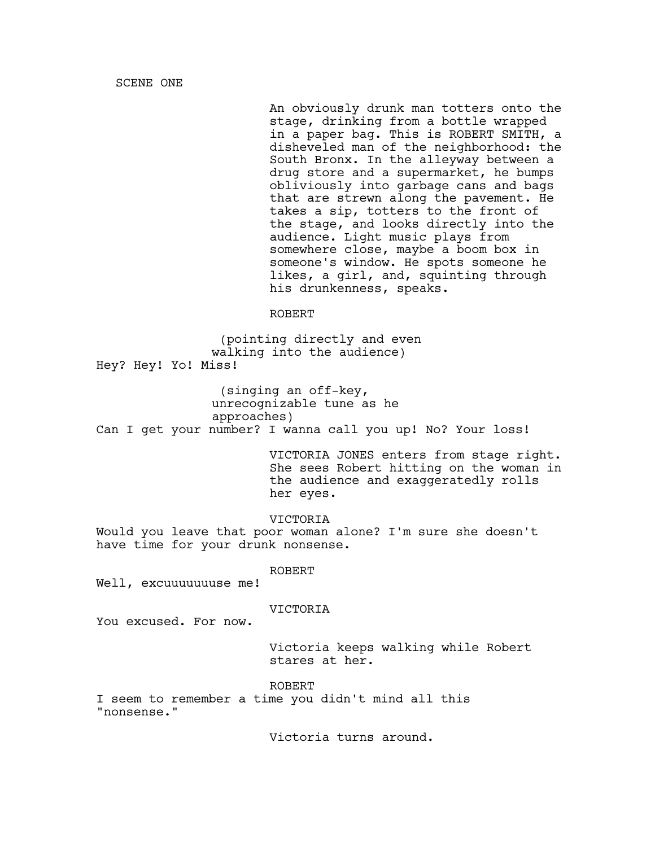SCENE ONE

An obviously drunk man totters onto the stage, drinking from a bottle wrapped in a paper bag. This is ROBERT SMITH, a disheveled man of the neighborhood: the South Bronx. In the alleyway between a drug store and a supermarket, he bumps obliviously into garbage cans and bags that are strewn along the pavement. He takes a sip, totters to the front of the stage, and looks directly into the audience. Light music plays from somewhere close, maybe a boom box in someone's window. He spots someone he likes, a girl, and, squinting through his drunkenness, speaks.

### ROBERT

(pointing directly and even walking into the audience) Hey? Hey! Yo! Miss!

(singing an off-key, unrecognizable tune as he approaches) Can I get your number? I wanna call you up! No? Your loss!

> VICTORIA JONES enters from stage right. She sees Robert hitting on the woman in the audience and exaggeratedly rolls her eyes.

VICTORIA Would you leave that poor woman alone? I'm sure she doesn't have time for your drunk nonsense.

ROBERT

Well, excuuuuuuuse me!

## VICTORIA

You excused. For now.

Victoria keeps walking while Robert stares at her.

ROBERT

I seem to remember a time you didn't mind all this "nonsense."

Victoria turns around.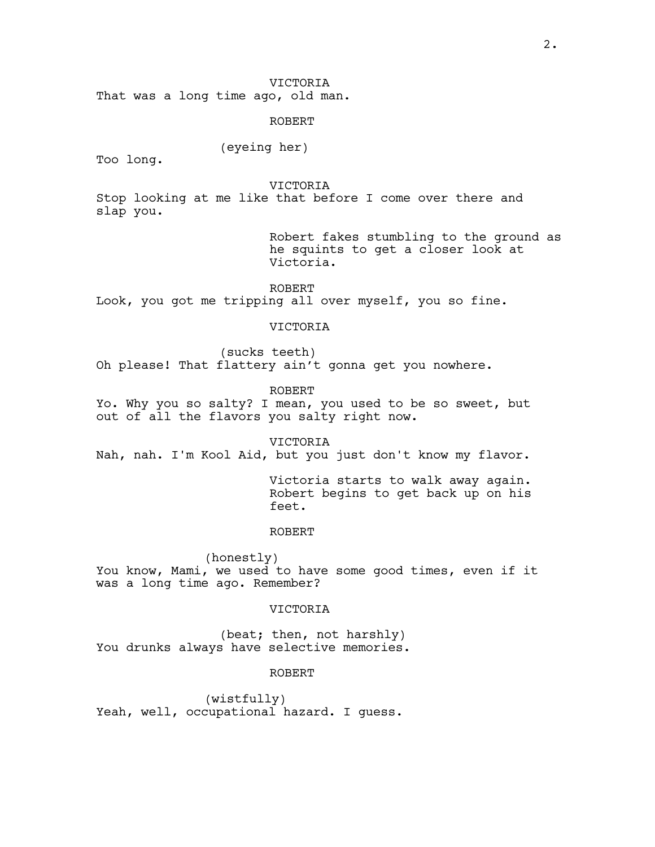That was a long time ago, old man.

ROBERT

## (eyeing her)

Too long.

VICTORIA

Stop looking at me like that before I come over there and slap you.

> Robert fakes stumbling to the ground as he squints to get a closer look at Victoria.

ROBERT Look, you got me tripping all over myself, you so fine.

### VICTORIA

(sucks teeth) Oh please! That flattery ain't gonna get you nowhere.

ROBERT

Yo. Why you so salty? I mean, you used to be so sweet, but out of all the flavors you salty right now.

VICTORIA Nah, nah. I'm Kool Aid, but you just don't know my flavor.

> Victoria starts to walk away again. Robert begins to get back up on his feet.

### ROBERT

(honestly) You know, Mami, we used to have some good times, even if it was a long time ago. Remember?

## VICTORIA

(beat; then, not harshly) You drunks always have selective memories.

ROBERT

(wistfully) Yeah, well, occupational hazard. I guess.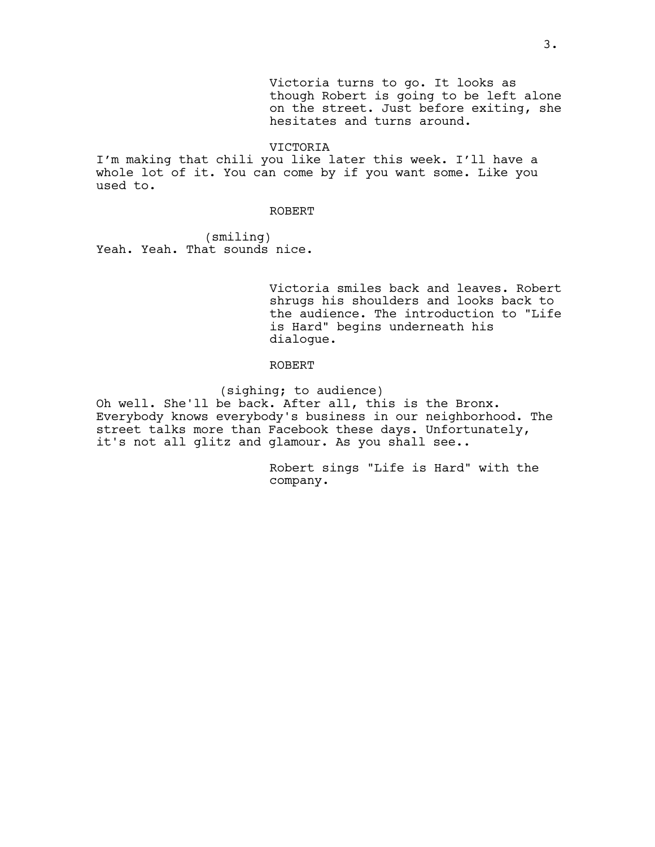Victoria turns to go. It looks as though Robert is going to be left alone on the street. Just before exiting, she hesitates and turns around.

VICTORIA

I'm making that chili you like later this week. I'll have a whole lot of it. You can come by if you want some. Like you used to.

#### ROBERT

(smiling) Yeah. Yeah. That sounds nice.

> Victoria smiles back and leaves. Robert shrugs his shoulders and looks back to the audience. The introduction to "Life is Hard" begins underneath his dialogue.

### ROBERT

(sighing; to audience)

Oh well. She'll be back. After all, this is the Bronx. Everybody knows everybody's business in our neighborhood. The street talks more than Facebook these days. Unfortunately, it's not all glitz and glamour. As you shall see..

> Robert sings "Life is Hard" with the company.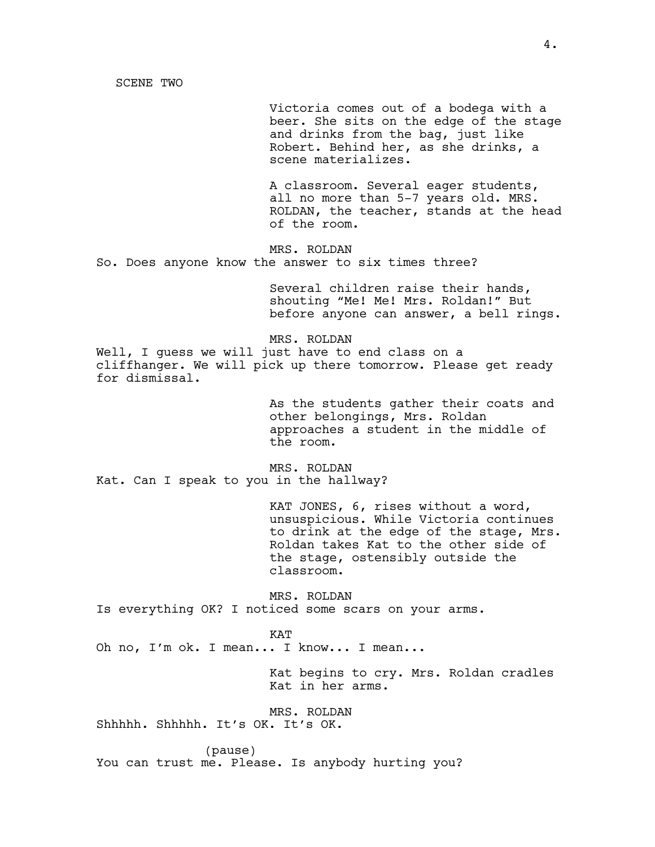SCENE TWO

Victoria comes out of a bodega with a beer. She sits on the edge of the stage and drinks from the bag, just like Robert. Behind her, as she drinks, a scene materializes.

A classroom. Several eager students, all no more than 5-7 years old. MRS. ROLDAN, the teacher, stands at the head of the room.

MRS. ROLDAN So. Does anyone know the answer to six times three?

> Several children raise their hands, shouting "Me! Me! Mrs. Roldan!" But before anyone can answer, a bell rings.

MRS. ROLDAN Well, I quess we will just have to end class on a cliffhanger. We will pick up there tomorrow. Please get ready for dismissal.

> As the students gather their coats and other belongings, Mrs. Roldan approaches a student in the middle of the room.

MRS. ROLDAN Kat. Can I speak to you in the hallway?

> KAT JONES, 6, rises without a word, unsuspicious. While Victoria continues to drink at the edge of the stage, Mrs. Roldan takes Kat to the other side of the stage, ostensibly outside the classroom.

MRS. ROLDAN Is everything OK? I noticed some scars on your arms.

### KAT

Oh no, I'm ok. I mean... I know... I mean...

Kat begins to cry. Mrs. Roldan cradles Kat in her arms.

MRS. ROLDAN Shhhhh. Shhhhh. It's OK. It's OK.

(pause)

You can trust me. Please. Is anybody hurting you?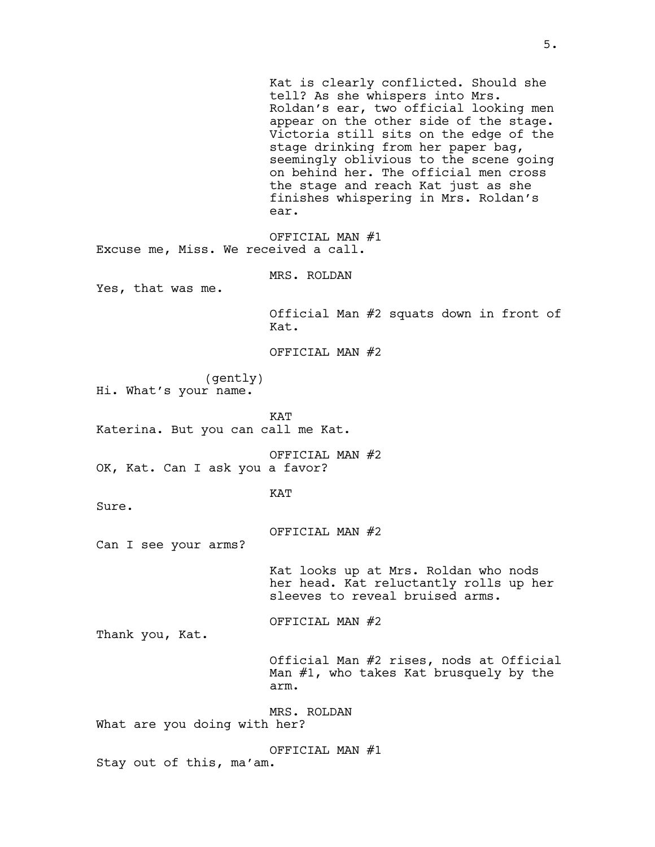Kat is clearly conflicted. Should she tell? As she whispers into Mrs. Roldan's ear, two official looking men appear on the other side of the stage. Victoria still sits on the edge of the stage drinking from her paper bag, seemingly oblivious to the scene going on behind her. The official men cross the stage and reach Kat just as she finishes whispering in Mrs. Roldan's ear. OFFICIAL MAN #1 Excuse me, Miss. We received a call. MRS. ROLDAN Yes, that was me. Official Man #2 squats down in front of Kat. OFFICIAL MAN #2 (gently) Hi. What's your name. KAT Katerina. But you can call me Kat. OFFICIAL MAN #2 OK, Kat. Can I ask you a favor? KAT Sure. OFFICIAL MAN #2 Can I see your arms? Kat looks up at Mrs. Roldan who nods her head. Kat reluctantly rolls up her sleeves to reveal bruised arms. OFFICIAL MAN #2 Thank you, Kat. Official Man #2 rises, nods at Official Man #1, who takes Kat brusquely by the arm. MRS. ROLDAN What are you doing with her? OFFICIAL MAN #1 Stay out of this, ma'am.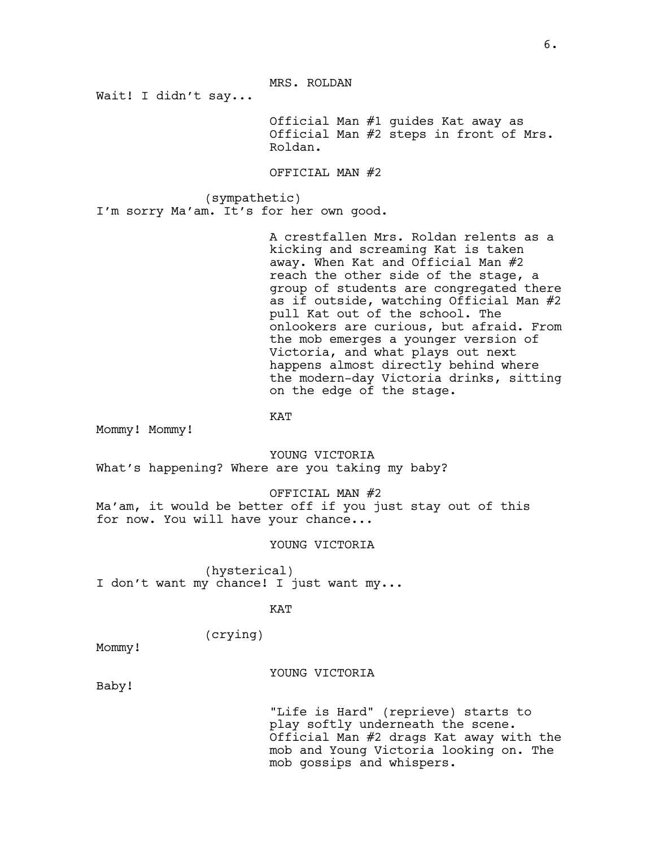MRS. ROLDAN

Wait! I didn't say...

Official Man #1 guides Kat away as Official Man #2 steps in front of Mrs. Roldan.

OFFICIAL MAN #2

(sympathetic) I'm sorry Ma'am. It's for her own good.

> A crestfallen Mrs. Roldan relents as a kicking and screaming Kat is taken away. When Kat and Official Man #2 reach the other side of the stage, a group of students are congregated there as if outside, watching Official Man #2 pull Kat out of the school. The onlookers are curious, but afraid. From the mob emerges a younger version of Victoria, and what plays out next happens almost directly behind where the modern-day Victoria drinks, sitting on the edge of the stage.

KAT

Mommy! Mommy!

YOUNG VICTORIA What's happening? Where are you taking my baby?

OFFICIAL MAN #2

Ma'am, it would be better off if you just stay out of this for now. You will have your chance...

YOUNG VICTORIA

(hysterical) I don't want my chance! I just want my...

KAT

(crying)

Mommy!

### YOUNG VICTORIA

Baby!

"Life is Hard" (reprieve) starts to play softly underneath the scene. Official Man #2 drags Kat away with the mob and Young Victoria looking on. The mob gossips and whispers.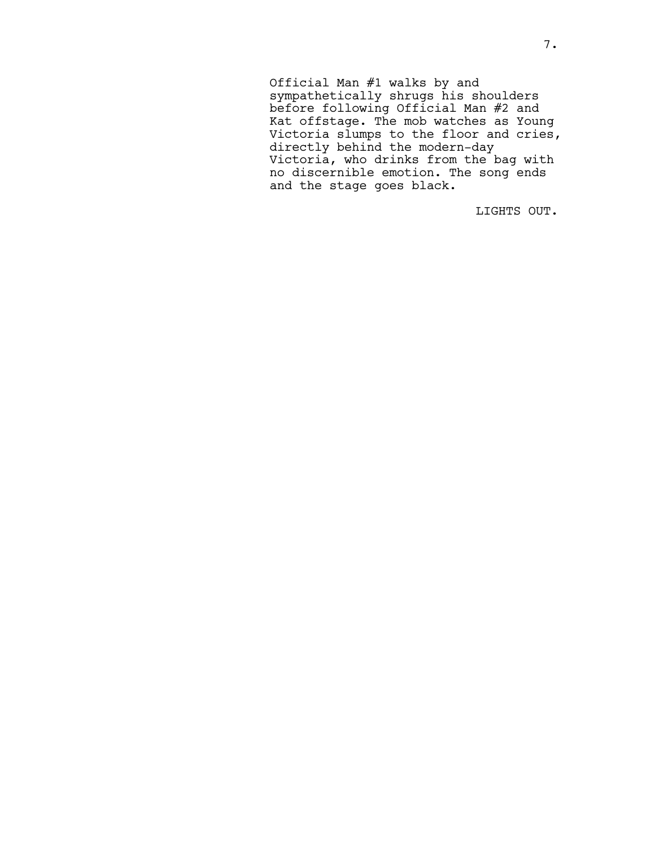Official Man #1 walks by and sympathetically shrugs his shoulders before following Official Man #2 and Kat offstage. The mob watches as Young Victoria slumps to the floor and cries, directly behind the modern-day Victoria, who drinks from the bag with no discernible emotion. The song ends and the stage goes black.

LIGHTS OUT.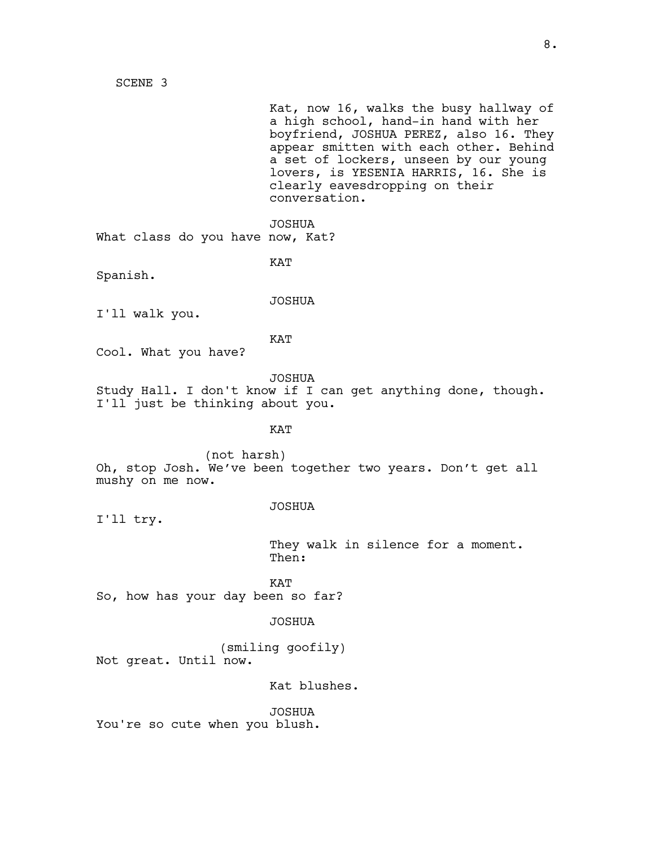SCENE 3

Kat, now 16, walks the busy hallway of a high school, hand-in hand with her boyfriend, JOSHUA PEREZ, also 16. They appear smitten with each other. Behind a set of lockers, unseen by our young lovers, is YESENIA HARRIS, 16. She is clearly eavesdropping on their conversation.

JOSHUA What class do you have now, Kat?

KAT

Spanish.

JOSHUA I'll walk you.

KAT

Cool. What you have?

JOSHUA

Study Hall. I don't know if I can get anything done, though. I'll just be thinking about you.

KAT

(not harsh) Oh, stop Josh. We've been together two years. Don't get all mushy on me now.

### JOSHUA

I'll try.

They walk in silence for a moment. Then:

KAT So, how has your day been so far?

### JOSHUA

(smiling goofily) Not great. Until now.

Kat blushes.

JOSHUA You're so cute when you blush.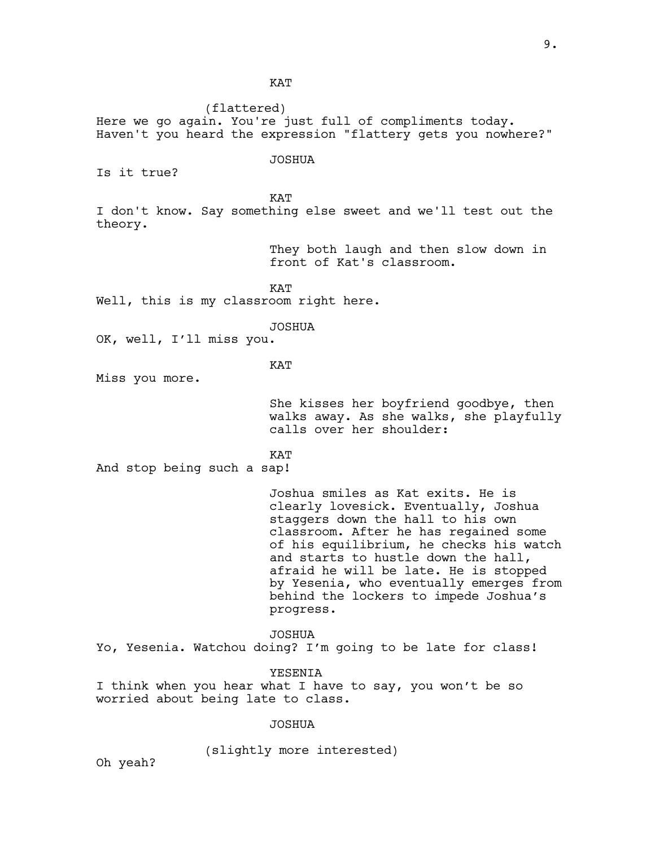**KAT** 

(flattered) Here we go again. You're just full of compliments today. Haven't you heard the expression "flattery gets you nowhere?" JOSHUA Is it true? **KAT** I don't know. Say something else sweet and we'll test out the theory. They both laugh and then slow down in front of Kat's classroom. KAT Well, this is my classroom right here. JOSHUA OK, well, I'll miss you. **KAT** Miss you more. She kisses her boyfriend goodbye, then walks away. As she walks, she playfully calls over her shoulder: KAT And stop being such a sap! Joshua smiles as Kat exits. He is clearly lovesick. Eventually, Joshua staggers down the hall to his own classroom. After he has regained some of his equilibrium, he checks his watch and starts to hustle down the hall, afraid he will be late. He is stopped by Yesenia, who eventually emerges from behind the lockers to impede Joshua's progress. JOSHUA Yo, Yesenia. Watchou doing? I'm going to be late for class! YESENIA I think when you hear what I have to say, you won't be so worried about being late to class. JOSHUA (slightly more interested)

Oh yeah?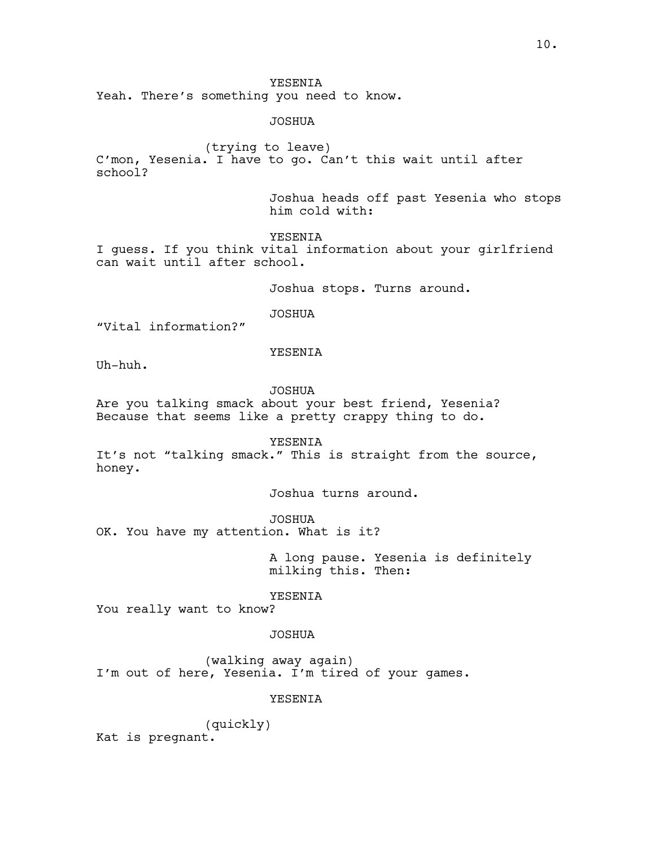## YESENIA

Yeah. There's something you need to know.

JOSHUA

(trying to leave) C'mon, Yesenia. I have to go. Can't this wait until after school?

> Joshua heads off past Yesenia who stops him cold with:

YESENIA

I guess. If you think vital information about your girlfriend can wait until after school.

Joshua stops. Turns around.

JOSHUA

"Vital information?"

YESENIA

Uh-huh.

JOSHUA

Are you talking smack about your best friend, Yesenia? Because that seems like a pretty crappy thing to do.

YESENIA

It's not "talking smack." This is straight from the source, honey.

Joshua turns around.

JOSHUA

OK. You have my attention. What is it?

A long pause. Yesenia is definitely milking this. Then:

YESENIA

You really want to know?

## JOSHUA

(walking away again) I'm out of here, Yesenia. I'm tired of your games.

## YESENIA

(quickly) Kat is pregnant.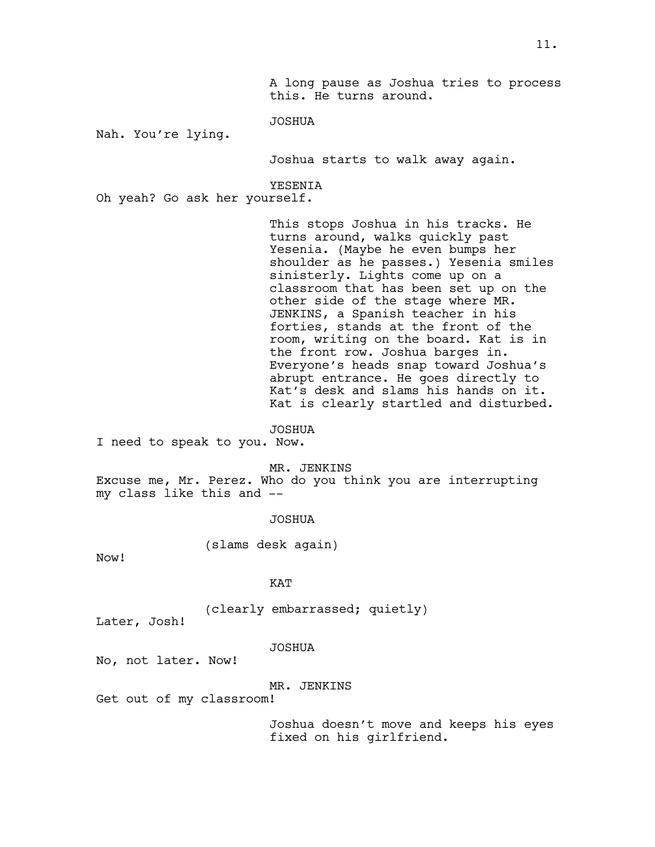A long pause as Joshua tries to process this. He turns around.

JOSHUA

Nah. You're lying.

Joshua starts to walk away again.

YESENIA

Oh yeah? Go ask her yourself.

This stops Joshua in his tracks. He turns around, walks quickly past Yesenia. (Maybe he even bumps her shoulder as he passes.) Yesenia smiles sinisterly. Lights come up on a classroom that has been set up on the other side of the stage where MR. JENKINS, a Spanish teacher in his forties, stands at the front of the room, writing on the board. Kat is in the front row. Joshua barges in. Everyone's heads snap toward Joshua's abrupt entrance. He goes directly to Kat's desk and slams his hands on it. Kat is clearly startled and disturbed.

JOSHUA

I need to speak to you. Now.

MR. JENKINS

Excuse me, Mr. Perez. Who do you think you are interrupting my class like this and --

JOSHUA

(slams desk again)

Now!

## KAT

(clearly embarrassed; quietly)

Later, Josh!

JOSHUA

No, not later. Now!

#### MR. JENKINS

Get out of my classroom!

Joshua doesn't move and keeps his eyes fixed on his girlfriend.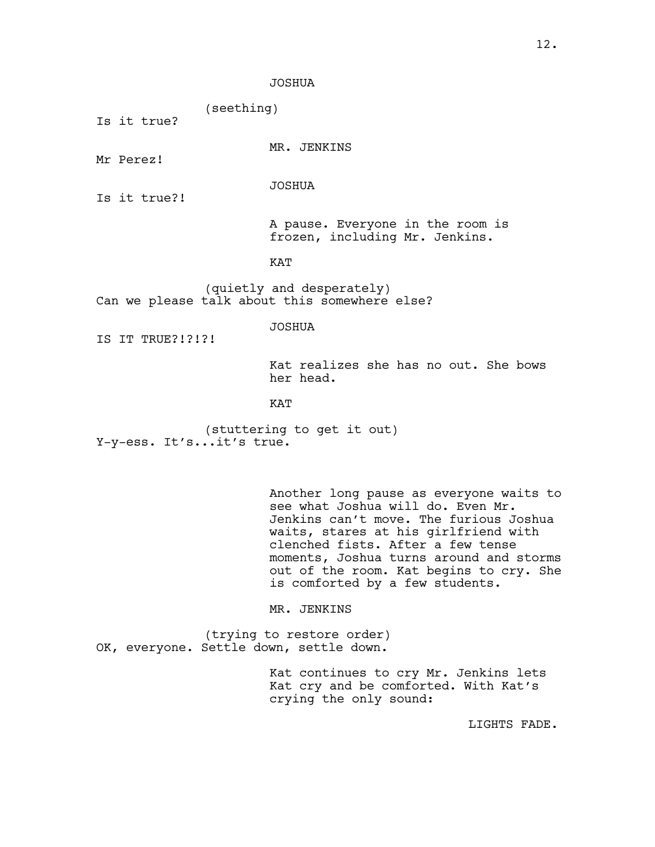JOSHUA

(seething)

Is it true?

MR. JENKINS

Mr Perez!

JOSHUA

Is it true?!

A pause. Everyone in the room is frozen, including Mr. Jenkins.

KAT

(quietly and desperately) Can we please talk about this somewhere else?

JOSHUA

IS IT TRUE?!?!?!

Kat realizes she has no out. She bows her head.

KAT

(stuttering to get it out) Y-y-ess. It's...it's true.

> Another long pause as everyone waits to see what Joshua will do. Even Mr. Jenkins can't move. The furious Joshua waits, stares at his girlfriend with clenched fists. After a few tense moments, Joshua turns around and storms out of the room. Kat begins to cry. She is comforted by a few students.

MR. JENKINS

(trying to restore order) OK, everyone. Settle down, settle down.

> Kat continues to cry Mr. Jenkins lets Kat cry and be comforted. With Kat's crying the only sound:

> > LIGHTS FADE.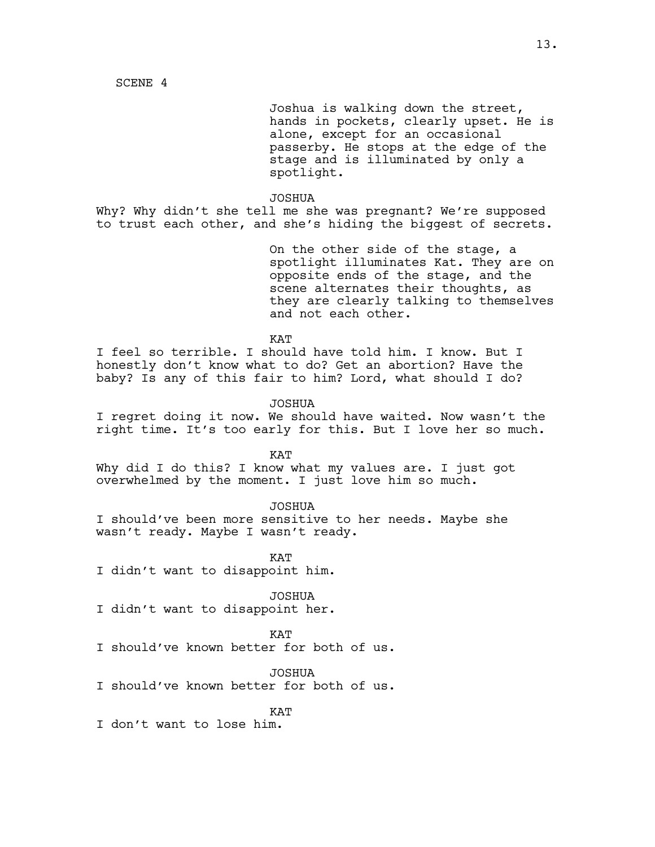SCENE 4

Joshua is walking down the street, hands in pockets, clearly upset. He is alone, except for an occasional passerby. He stops at the edge of the stage and is illuminated by only a spotlight.

#### JOSHUA

Why? Why didn't she tell me she was pregnant? We're supposed to trust each other, and she's hiding the biggest of secrets.

> On the other side of the stage, a spotlight illuminates Kat. They are on opposite ends of the stage, and the scene alternates their thoughts, as they are clearly talking to themselves and not each other.

**KAT** 

I feel so terrible. I should have told him. I know. But I honestly don't know what to do? Get an abortion? Have the baby? Is any of this fair to him? Lord, what should I do?

JOSHUA

I regret doing it now. We should have waited. Now wasn't the right time. It's too early for this. But I love her so much.

KAT

Why did I do this? I know what my values are. I just got overwhelmed by the moment. I just love him so much.

JOSHUA

I should've been more sensitive to her needs. Maybe she wasn't ready. Maybe I wasn't ready.

**KAT** I didn't want to disappoint him.

JOSHUA

I didn't want to disappoint her.

KAT

I should've known better for both of us.

JOSHUA

I should've known better for both of us.

**KAT** 

I don't want to lose him.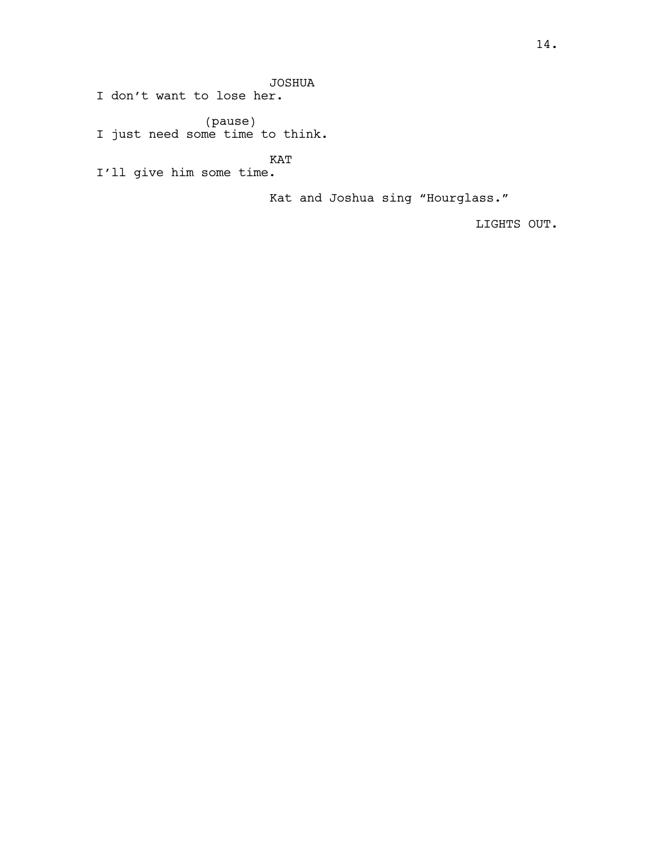JOSHUA

I don't want to lose her.

(pause) I just need some time to think.

KAT

I'll give him some time.

Kat and Joshua sing "Hourglass."

LIGHTS OUT.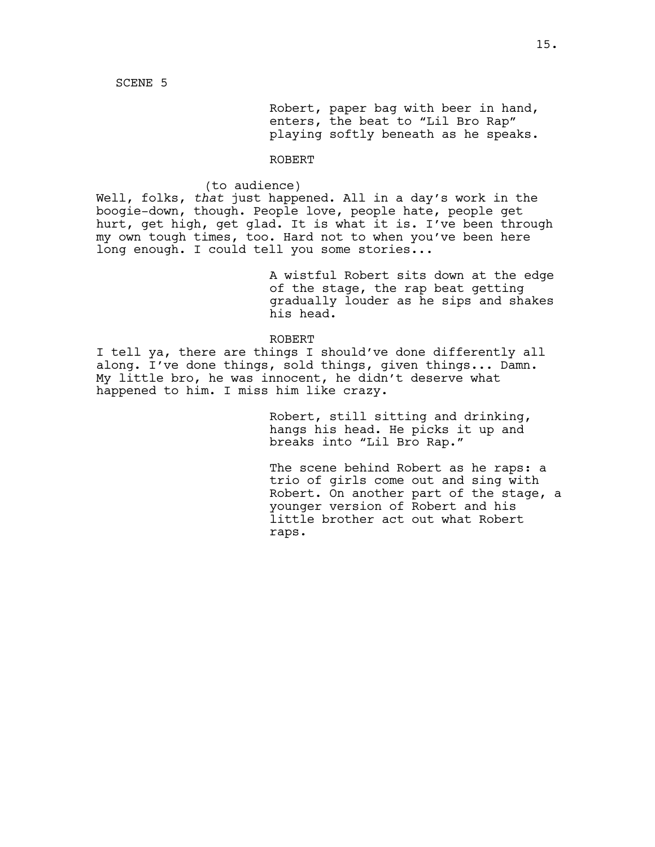Robert, paper bag with beer in hand, enters, the beat to "Lil Bro Rap" playing softly beneath as he speaks.

### ROBERT

#### (to audience)

Well, folks, *that* just happened. All in a day's work in the boogie-down, though. People love, people hate, people get hurt, get high, get glad. It is what it is. I've been through my own tough times, too. Hard not to when you've been here long enough. I could tell you some stories...

> A wistful Robert sits down at the edge of the stage, the rap beat getting gradually louder as he sips and shakes his head.

### ROBERT

I tell ya, there are things I should've done differently all along. I've done things, sold things, given things... Damn. My little bro, he was innocent, he didn't deserve what happened to him. I miss him like crazy.

> Robert, still sitting and drinking, hangs his head. He picks it up and breaks into "Lil Bro Rap."

The scene behind Robert as he raps: a trio of girls come out and sing with Robert. On another part of the stage, a younger version of Robert and his little brother act out what Robert raps.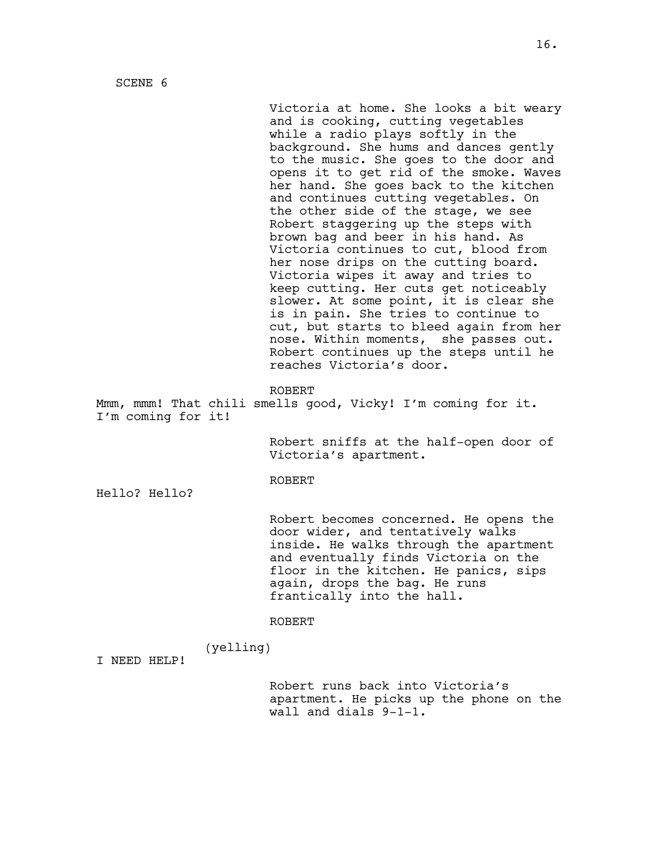SCENE 6

Victoria at home. She looks a bit weary and is cooking, cutting vegetables while a radio plays softly in the background. She hums and dances gently to the music. She goes to the door and opens it to get rid of the smoke. Waves her hand. She goes back to the kitchen and continues cutting vegetables. On the other side of the stage, we see Robert staggering up the steps with brown bag and beer in his hand. As Victoria continues to cut, blood from her nose drips on the cutting board. Victoria wipes it away and tries to keep cutting. Her cuts get noticeably slower. At some point, it is clear she is in pain. She tries to continue to cut, but starts to bleed again from her nose. Within moments, she passes out. Robert continues up the steps until he reaches Victoria's door.

ROBERT

Mmm, mmm! That chili smells good, Vicky! I'm coming for it. I'm coming for it!

> Robert sniffs at the half-open door of Victoria's apartment.

#### ROBERT

Hello? Hello?

Robert becomes concerned. He opens the door wider, and tentatively walks inside. He walks through the apartment and eventually finds Victoria on the floor in the kitchen. He panics, sips again, drops the bag. He runs frantically into the hall.

#### ROBERT

(yelling)

I NEED HELP!

Robert runs back into Victoria's apartment. He picks up the phone on the wall and dials 9-1-1.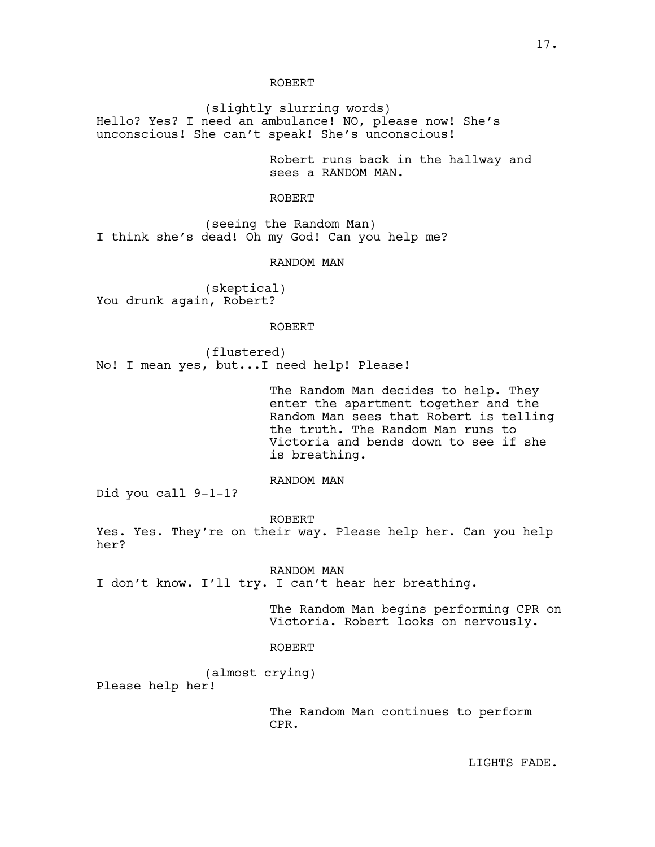(slightly slurring words) Hello? Yes? I need an ambulance! NO, please now! She's unconscious! She can't speak! She's unconscious!

> Robert runs back in the hallway and sees a RANDOM MAN.

### ROBERT

(seeing the Random Man) I think she's dead! Oh my God! Can you help me?

RANDOM MAN

(skeptical) You drunk again, Robert?

#### ROBERT

(flustered) No! I mean yes, but...I need help! Please!

> The Random Man decides to help. They enter the apartment together and the Random Man sees that Robert is telling the truth. The Random Man runs to Victoria and bends down to see if she is breathing.

# RANDOM MAN

Did you call 9-1-1?

ROBERT

Yes. Yes. They're on their way. Please help her. Can you help her?

RANDOM MAN I don't know. I'll try. I can't hear her breathing.

> The Random Man begins performing CPR on Victoria. Robert looks on nervously.

#### ROBERT

(almost crying) Please help her!

> The Random Man continues to perform CPR.

LIGHTS FADE.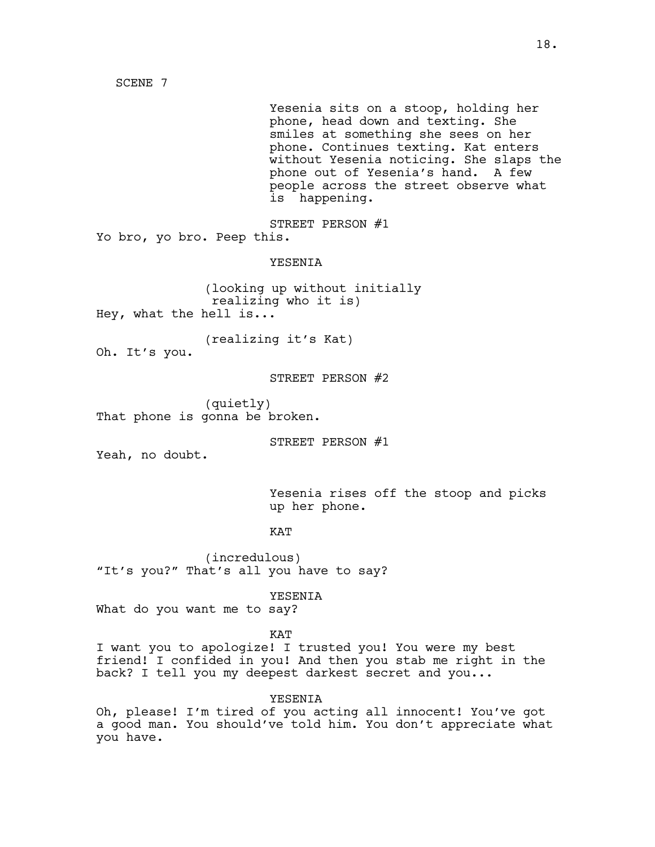SCENE 7

Yesenia sits on a stoop, holding her phone, head down and texting. She smiles at something she sees on her phone. Continues texting. Kat enters without Yesenia noticing. She slaps the phone out of Yesenia's hand. A few people across the street observe what is happening.

STREET PERSON #1 Yo bro, yo bro. Peep this.

YESENIA

(looking up without initially realizing who it is) Hey, what the hell is...

(realizing it's Kat) Oh. It's you.

STREET PERSON #2

(quietly) That phone is gonna be broken.

STREET PERSON #1

Yeah, no doubt.

Yesenia rises off the stoop and picks up her phone.

**KAT** 

(incredulous) "It's you?" That's all you have to say?

YESENIA

What do you want me to say?

KAT

I want you to apologize! I trusted you! You were my best friend! I confided in you! And then you stab me right in the back? I tell you my deepest darkest secret and you...

YESENIA

Oh, please! I'm tired of you acting all innocent! You've got a good man. You should've told him. You don't appreciate what you have.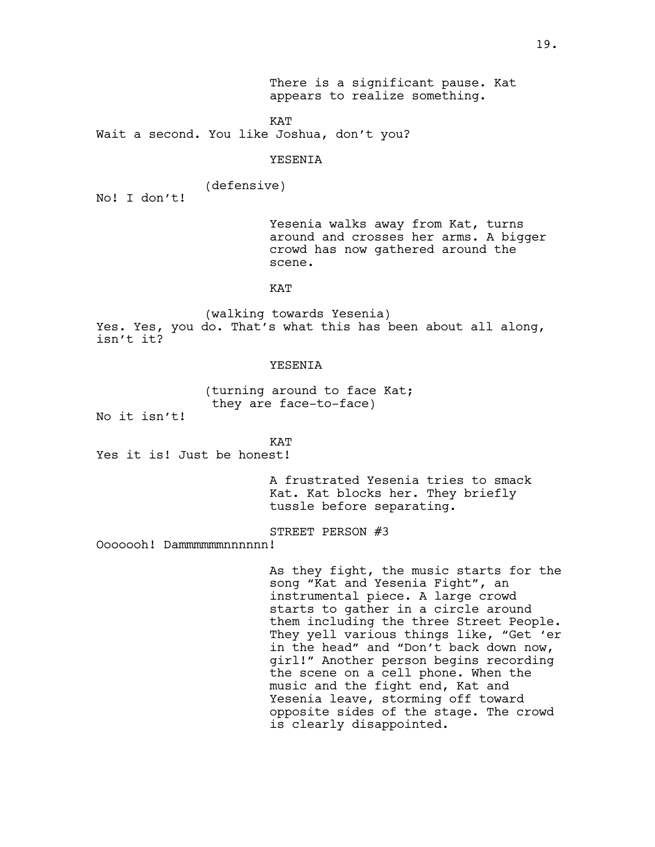There is a significant pause. Kat appears to realize something.

KAT

Wait a second. You like Joshua, don't you?

### YESENIA

(defensive)

No! I don't!

Yesenia walks away from Kat, turns around and crosses her arms. A bigger crowd has now gathered around the scene.

## KAT

(walking towards Yesenia) Yes. Yes, you do. That's what this has been about all along, isn't it?

## **YESENIA**

(turning around to face Kat; they are face-to-face)

No it isn't!

KAT Yes it is! Just be honest!

> A frustrated Yesenia tries to smack Kat. Kat blocks her. They briefly tussle before separating.

STREET PERSON #3

Ooooooh! Dammmmmmnnnnnn!

As they fight, the music starts for the song "Kat and Yesenia Fight", an instrumental piece. A large crowd starts to gather in a circle around them including the three Street People. They yell various things like, "Get 'er in the head" and "Don't back down now, girl!" Another person begins recording the scene on a cell phone. When the music and the fight end, Kat and Yesenia leave, storming off toward opposite sides of the stage. The crowd is clearly disappointed.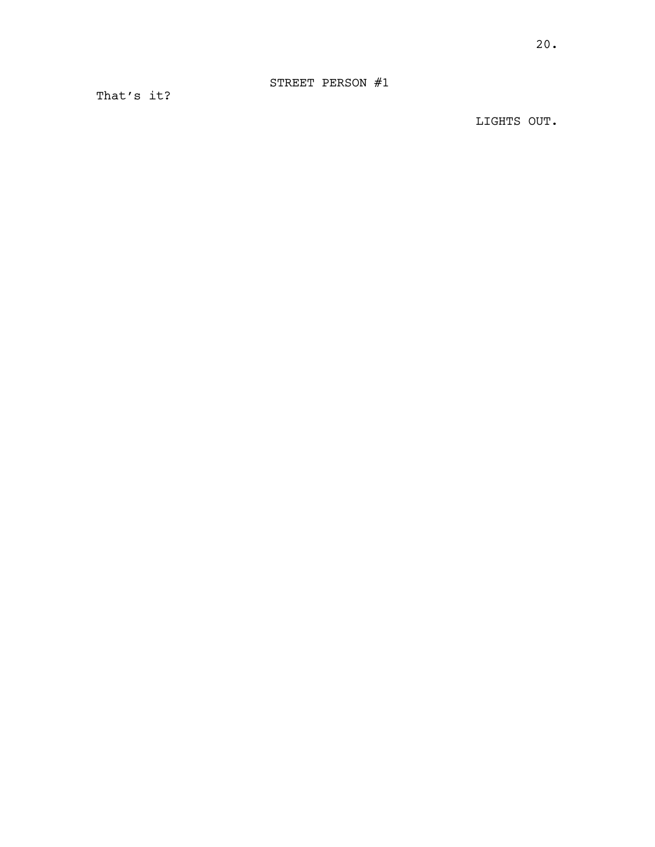That's it?

LIGHTS OUT.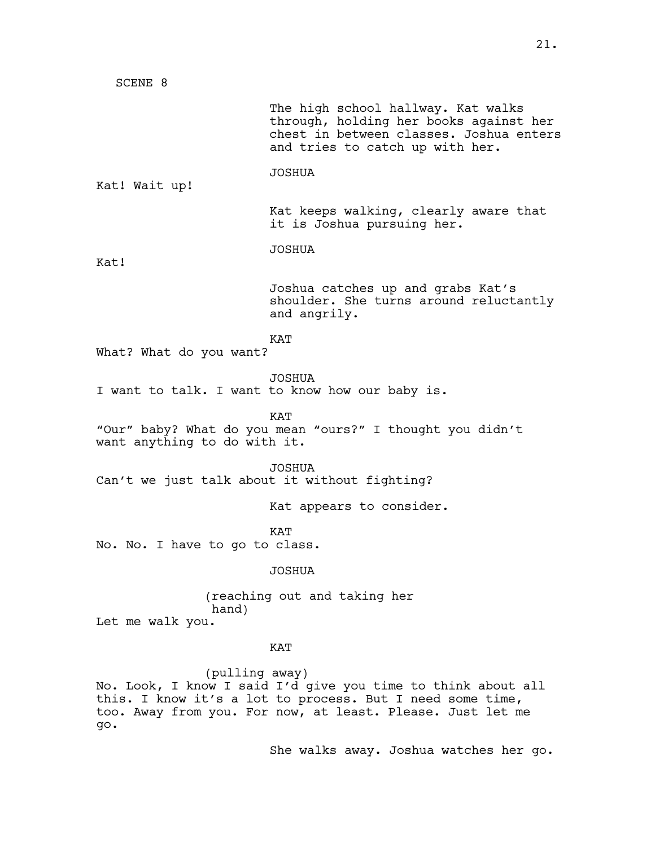SCENE 8 The high school hallway. Kat walks through, holding her books against her chest in between classes. Joshua enters and tries to catch up with her. JOSHUA Kat! Wait up! Kat keeps walking, clearly aware that it is Joshua pursuing her. JOSHUA Kat! Joshua catches up and grabs Kat's shoulder. She turns around reluctantly and angrily. KAT What? What do you want? JOSHUA I want to talk. I want to know how our baby is. **KAT** "Our" baby? What do you mean "ours?" I thought you didn't want anything to do with it. JOSHUA Can't we just talk about it without fighting? Kat appears to consider. **KAT** No. No. I have to go to class. JOSHUA (reaching out and taking her hand) Let me walk you. **KAT** 

(pulling away) No. Look, I know I said I'd give you time to think about all this. I know it's a lot to process. But I need some time, too. Away from you. For now, at least. Please. Just let me go.

She walks away. Joshua watches her go.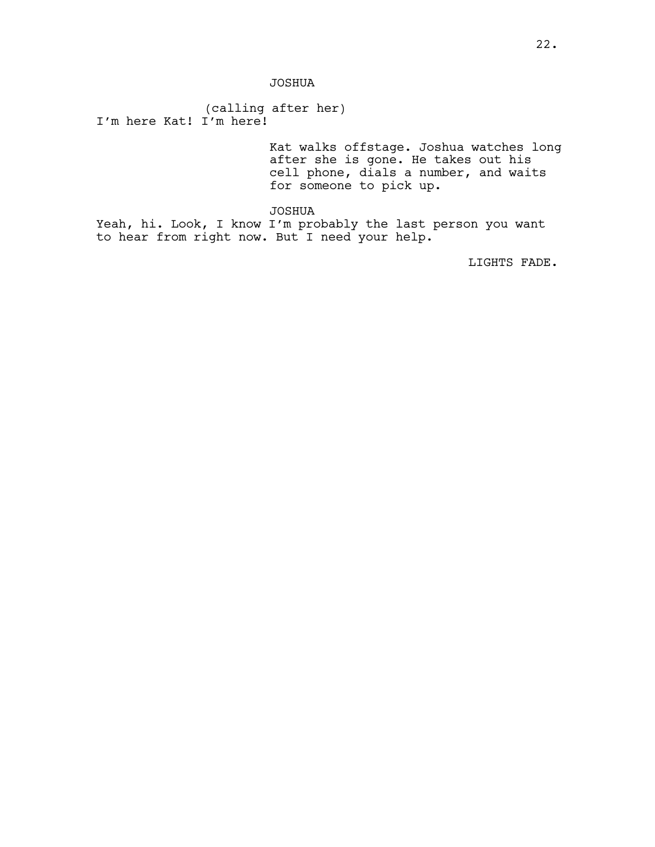JOSHUA

(calling after her) I'm here Kat! I'm here!

> Kat walks offstage. Joshua watches long after she is gone. He takes out his cell phone, dials a number, and waits for someone to pick up.

JOSHUA

Yeah, hi. Look, I know I'm probably the last person you want to hear from right now. But I need your help.

LIGHTS FADE.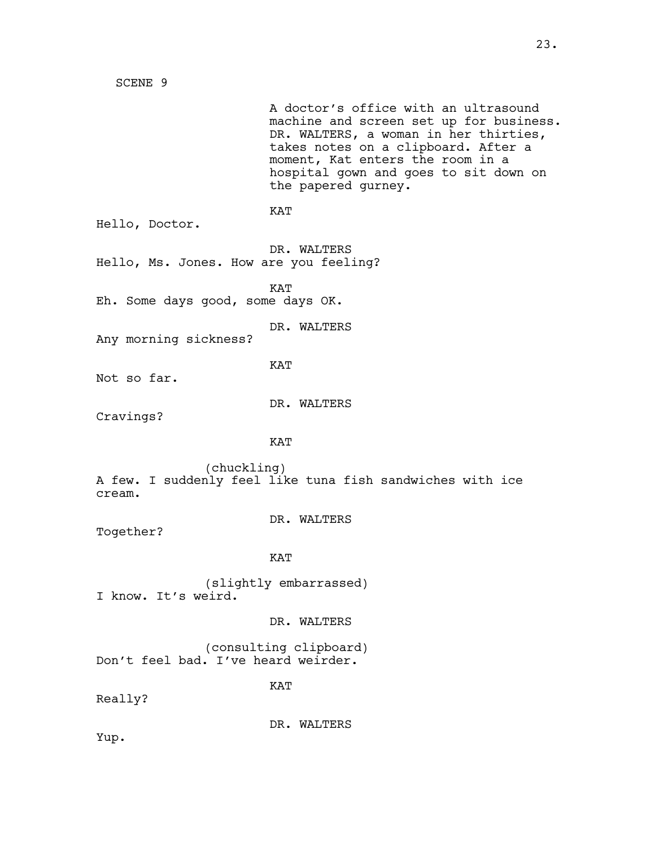A doctor's office with an ultrasound machine and screen set up for business. DR. WALTERS, a woman in her thirties, takes notes on a clipboard. After a moment, Kat enters the room in a hospital gown and goes to sit down on the papered gurney. KAT Hello, Doctor. DR. WALTERS Hello, Ms. Jones. How are you feeling? KAT Eh. Some days good, some days OK. DR. WALTERS Any morning sickness? KAT Not so far. DR. WALTERS Cravings? KAT (chuckling) A few. I suddenly feel like tuna fish sandwiches with ice cream. DR. WALTERS Together? KAT (slightly embarrassed) I know. It's weird. DR. WALTERS (consulting clipboard) Don't feel bad. I've heard weirder. KAT Really? DR. WALTERS Yup.

SCENE 9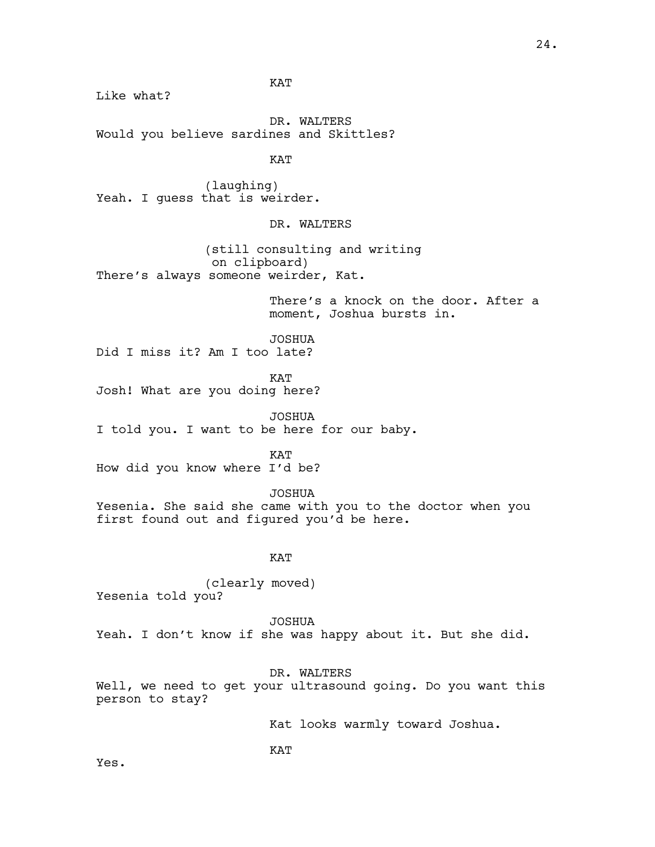Like what?

KAT

DR. WALTERS Would you believe sardines and Skittles?

KAT

(laughing) Yeah. I guess that is weirder.

DR. WALTERS

(still consulting and writing on clipboard) There's always someone weirder, Kat.

> There's a knock on the door. After a moment, Joshua bursts in.

JOSHUA Did I miss it? Am I too late?

KAT

Josh! What are you doing here?

JOSHUA I told you. I want to be here for our baby.

KAT

How did you know where I'd be?

JOSHUA Yesenia. She said she came with you to the doctor when you first found out and figured you'd be here.

## KAT

(clearly moved) Yesenia told you?

JOSHUA Yeah. I don't know if she was happy about it. But she did.

DR. WALTERS

Well, we need to get your ultrasound going. Do you want this person to stay?

Kat looks warmly toward Joshua.

KAT

Yes.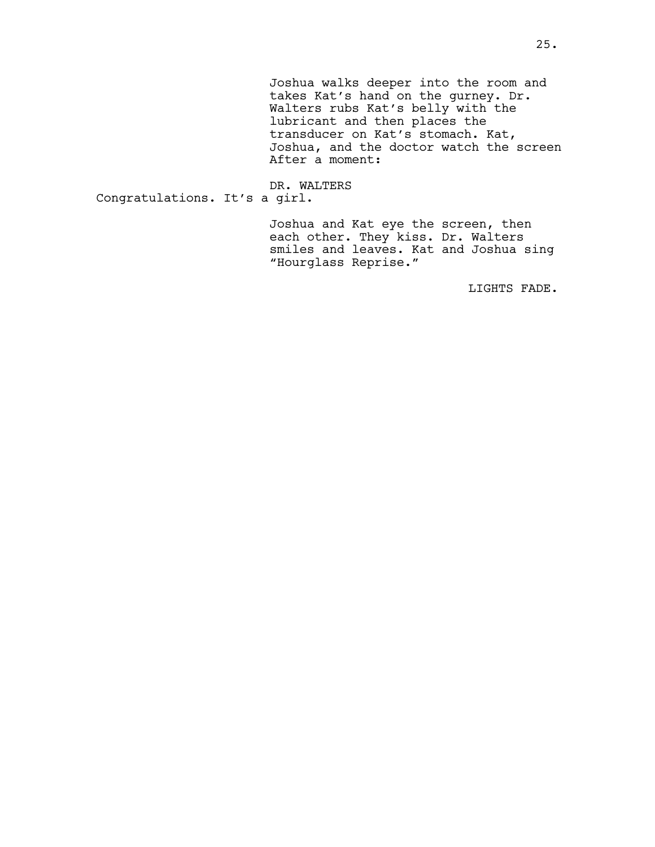Joshua walks deeper into the room and takes Kat's hand on the gurney. Dr. Walters rubs Kat's belly with the lubricant and then places the transducer on Kat's stomach. Kat, Joshua, and the doctor watch the screen After a moment:

DR. WALTERS Congratulations. It's a girl.

> Joshua and Kat eye the screen, then each other. They kiss. Dr. Walters smiles and leaves. Kat and Joshua sing "Hourglass Reprise."

> > LIGHTS FADE.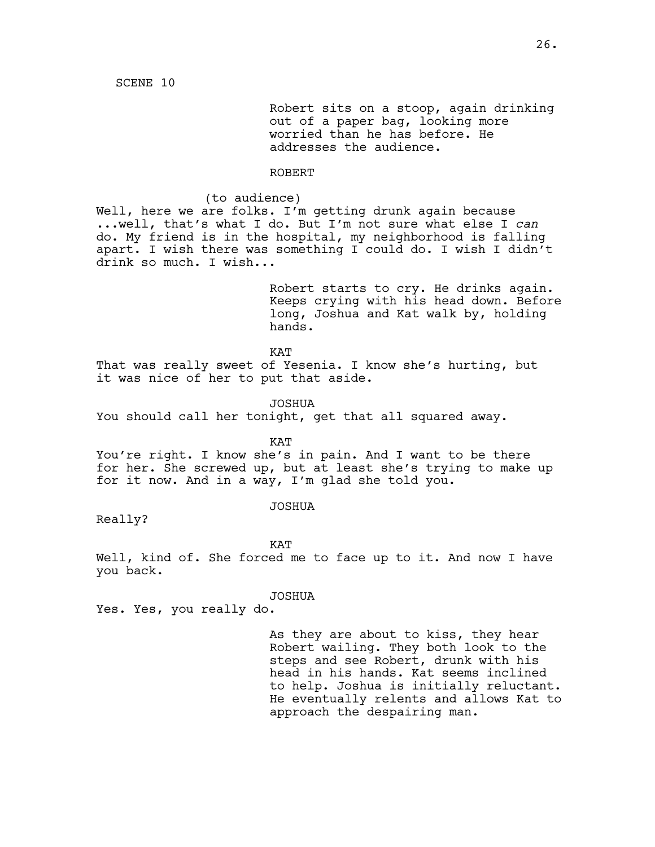Robert sits on a stoop, again drinking out of a paper bag, looking more worried than he has before. He addresses the audience.

### ROBERT

(to audience)

Well, here we are folks. I'm getting drunk again because ...well, that's what I do. But I'm not sure what else I *can* do. My friend is in the hospital, my neighborhood is falling apart. I wish there was something I could do. I wish I didn't drink so much. I wish...

> Robert starts to cry. He drinks again. Keeps crying with his head down. Before long, Joshua and Kat walk by, holding hands.

KAT

That was really sweet of Yesenia. I know she's hurting, but it was nice of her to put that aside.

JOSHUA

You should call her tonight, get that all squared away.

KAT

You're right. I know she's in pain. And I want to be there for her. She screwed up, but at least she's trying to make up for it now. And in a way, I'm glad she told you.

JOSHUA

Really?

KAT

Well, kind of. She forced me to face up to it. And now I have you back.

#### JOSHUA

Yes. Yes, you really do.

As they are about to kiss, they hear Robert wailing. They both look to the steps and see Robert, drunk with his head in his hands. Kat seems inclined to help. Joshua is initially reluctant. He eventually relents and allows Kat to approach the despairing man.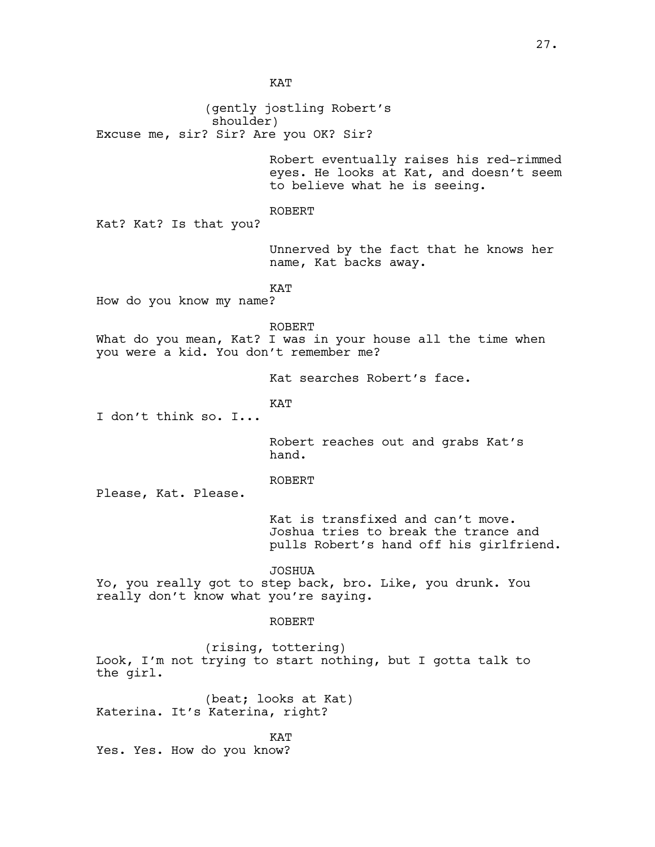KAT

(gently jostling Robert's shoulder) Excuse me, sir? Sir? Are you OK? Sir? Robert eventually raises his red-rimmed eyes. He looks at Kat, and doesn't seem to believe what he is seeing. ROBERT Kat? Kat? Is that you? Unnerved by the fact that he knows her name, Kat backs away. KAT How do you know my name? ROBERT What do you mean, Kat? I was in your house all the time when you were a kid. You don't remember me? Kat searches Robert's face. KAT I don't think so. I... Robert reaches out and grabs Kat's hand. ROBERT Please, Kat. Please. Kat is transfixed and can't move. Joshua tries to break the trance and pulls Robert's hand off his girlfriend. JOSHUA Yo, you really got to step back, bro. Like, you drunk. You really don't know what you're saying. ROBERT (rising, tottering) Look, I'm not trying to start nothing, but I gotta talk to the girl. (beat; looks at Kat) Katerina. It's Katerina, right? KAT Yes. Yes. How do you know?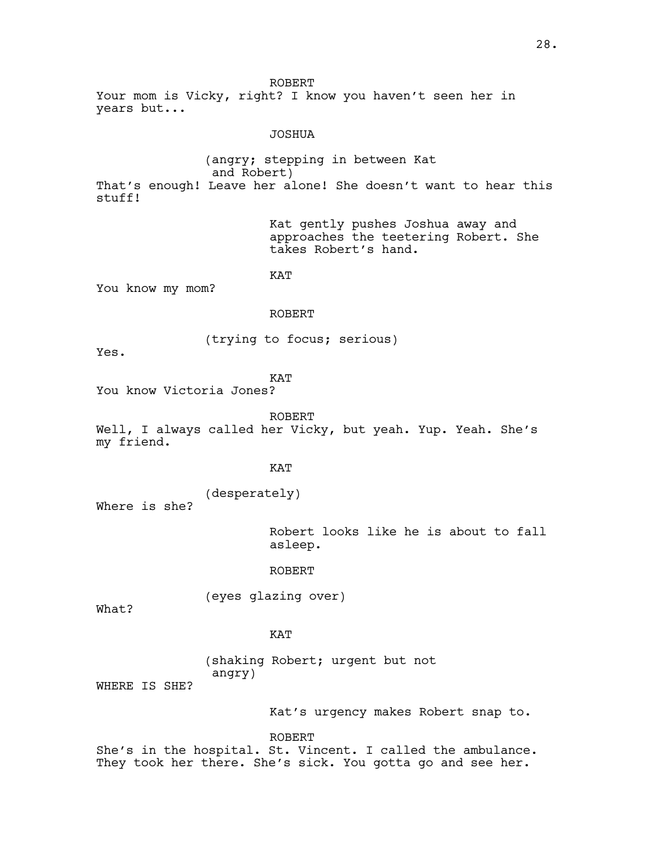ROBERT Your mom is Vicky, right? I know you haven't seen her in years but...

### JOSHUA

(angry; stepping in between Kat and Robert) That's enough! Leave her alone! She doesn't want to hear this stuff!

> Kat gently pushes Joshua away and approaches the teetering Robert. She takes Robert's hand.

KAT

You know my mom?

#### ROBERT

(trying to focus; serious)

Yes.

**KAT** 

You know Victoria Jones?

ROBERT

Well, I always called her Vicky, but yeah. Yup. Yeah. She's my friend.

### KAT

(desperately) Where is she?

> Robert looks like he is about to fall asleep.

## ROBERT

(eyes glazing over)

What?

## KAT

(shaking Robert; urgent but not angry)

WHERE IS SHE?

Kat's urgency makes Robert snap to.

ROBERT

She's in the hospital. St. Vincent. I called the ambulance. They took her there. She's sick. You gotta go and see her.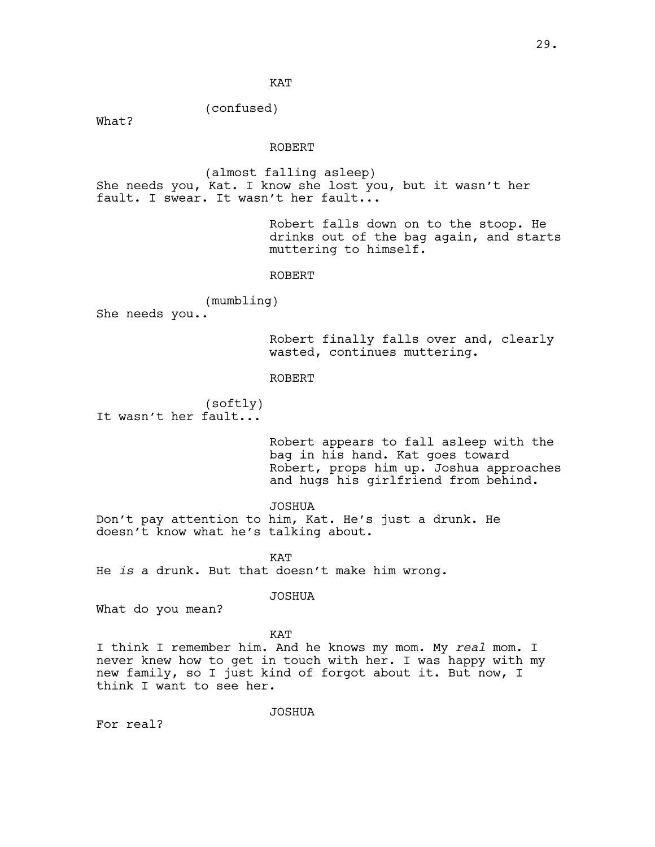**KAT** 

(confused)

What?

### ROBERT

(almost falling asleep) She needs you, Kat. I know she lost you, but it wasn't her fault. I swear. It wasn't her fault...

> Robert falls down on to the stoop. He drinks out of the bag again, and starts muttering to himself.

### ROBERT

(mumbling)

She needs you..

Robert finally falls over and, clearly wasted, continues muttering.

ROBERT

(softly) It wasn't her fault...

> Robert appears to fall asleep with the bag in his hand. Kat goes toward Robert, props him up. Joshua approaches and hugs his girlfriend from behind.

JOSHUA Don't pay attention to him, Kat. He's just a drunk. He doesn't know what he's talking about.

**KAT** He *is* a drunk. But that doesn't make him wrong.

JOSHUA

What do you mean?

### KAT

I think I remember him. And he knows my mom. My *real* mom. I never knew how to get in touch with her. I was happy with my new family, so I just kind of forgot about it. But now, I think I want to see her.

JOSHUA

For real?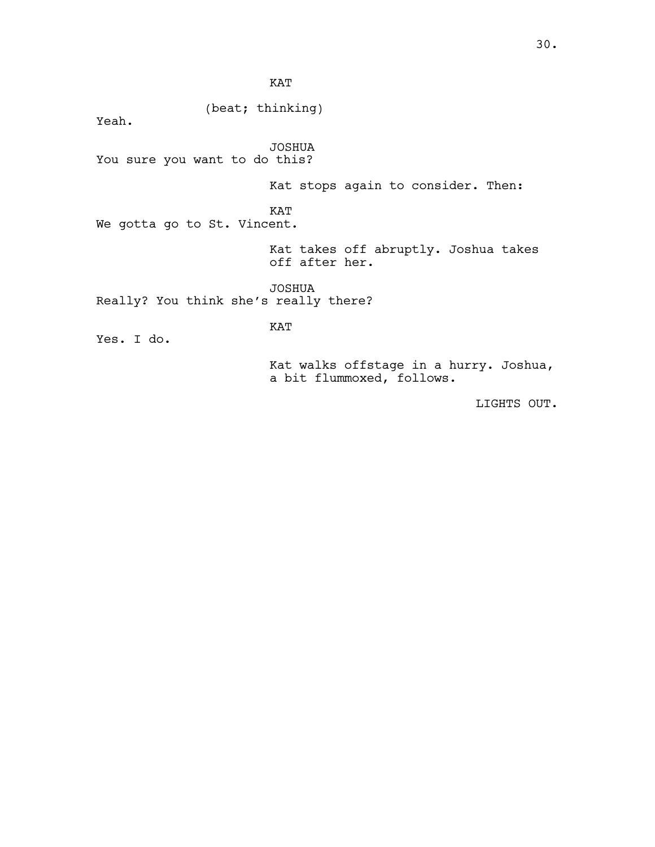KAT

(beat; thinking)

Yeah.

JOSHUA You sure you want to do this?

Kat stops again to consider. Then:

KAT

We gotta go to St. Vincent.

Kat takes off abruptly. Joshua takes off after her.

JOSHUA Really? You think she's really there?

KAT

Yes. I do.

Kat walks offstage in a hurry. Joshua, a bit flummoxed, follows.

LIGHTS OUT.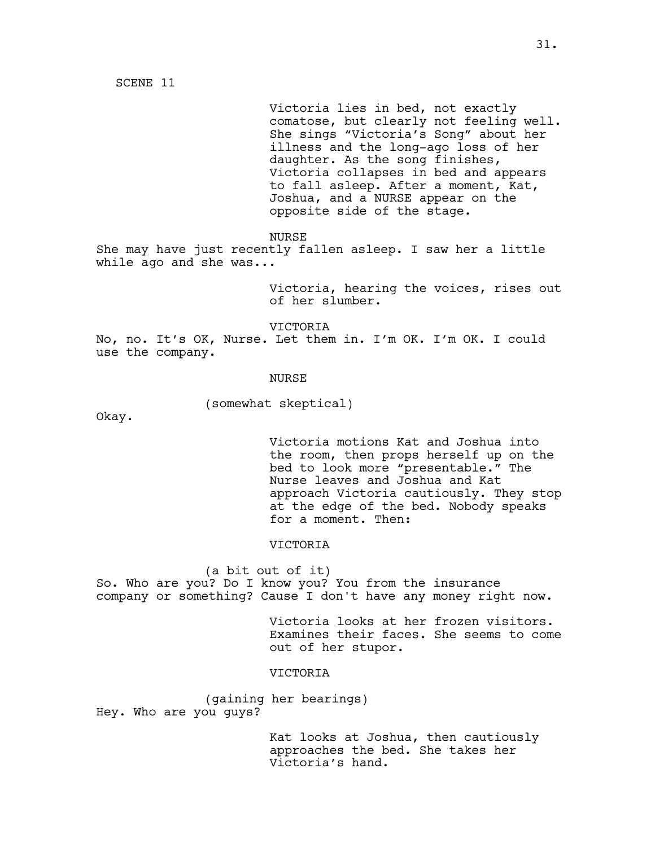SCENE 11

Victoria lies in bed, not exactly comatose, but clearly not feeling well. She sings "Victoria's Song" about her illness and the long-ago loss of her daughter. As the song finishes, Victoria collapses in bed and appears to fall asleep. After a moment, Kat, Joshua, and a NURSE appear on the opposite side of the stage.

NURSE

She may have just recently fallen asleep. I saw her a little while ago and she was...

> Victoria, hearing the voices, rises out of her slumber.

VICTORIA No, no. It's OK, Nurse. Let them in. I'm OK. I'm OK. I could use the company.

#### NURSE

(somewhat skeptical)

Okay.

Victoria motions Kat and Joshua into the room, then props herself up on the bed to look more "presentable." The Nurse leaves and Joshua and Kat approach Victoria cautiously. They stop at the edge of the bed. Nobody speaks for a moment. Then:

#### VICTORIA

(a bit out of it) So. Who are you? Do I know you? You from the insurance company or something? Cause I don't have any money right now.

> Victoria looks at her frozen visitors. Examines their faces. She seems to come out of her stupor.

## VICTORIA

(gaining her bearings) Hey. Who are you guys?

> Kat looks at Joshua, then cautiously approaches the bed. She takes her Victoria's hand.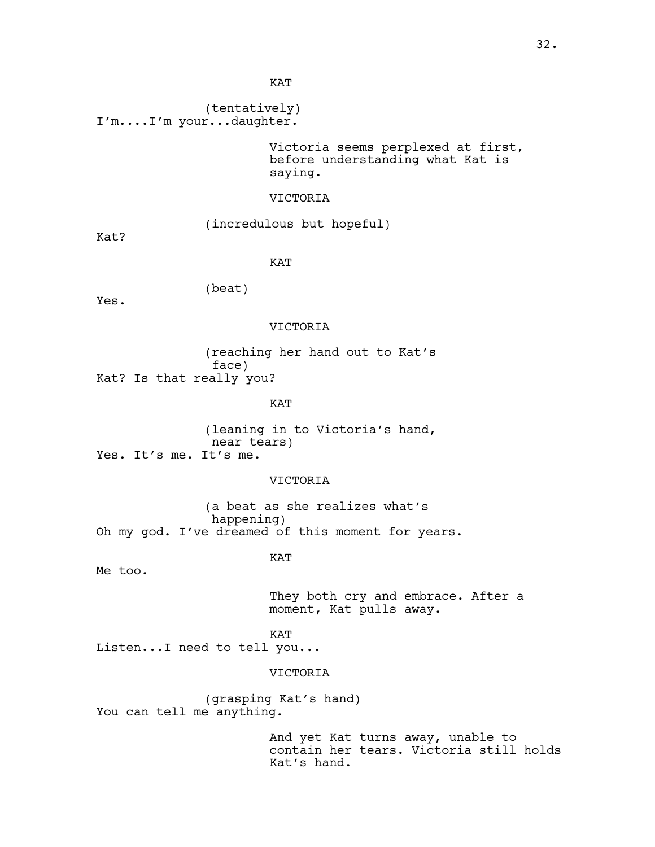KAT

(tentatively) I'm....I'm your...daughter.

> Victoria seems perplexed at first, before understanding what Kat is saying.

### VICTORIA

(incredulous but hopeful)

Kat?

KAT

(beat)

Yes.

## VICTORIA

(reaching her hand out to Kat's face) Kat? Is that really you?

KAT

(leaning in to Victoria's hand, near tears) Yes. It's me. It's me.

### VICTORIA

(a beat as she realizes what's happening) Oh my god. I've dreamed of this moment for years.

### KAT

Me too.

They both cry and embrace. After a moment, Kat pulls away.

KAT

Listen...I need to tell you...

## VICTORIA

(grasping Kat's hand) You can tell me anything.

> And yet Kat turns away, unable to contain her tears. Victoria still holds Kat's hand.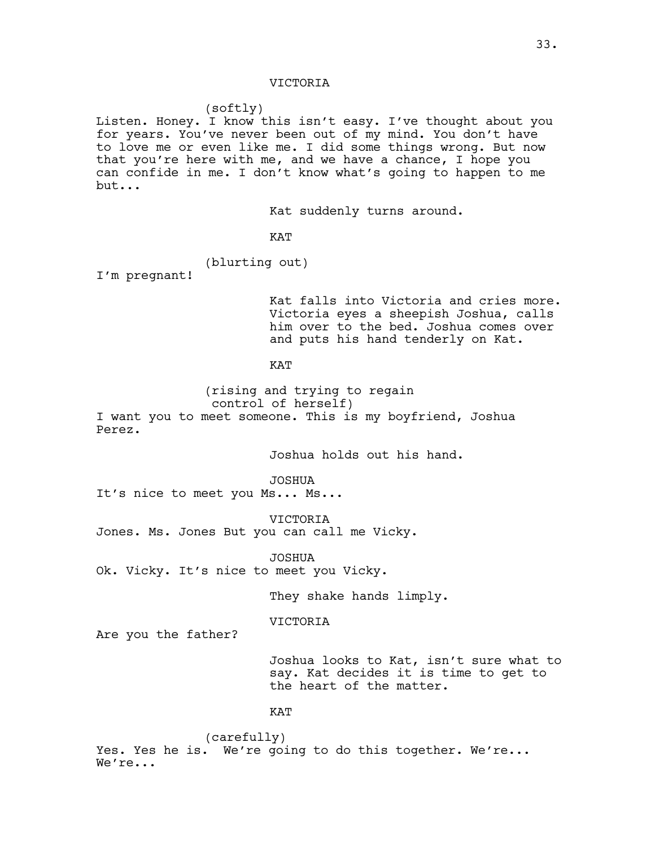#### (softly)

Listen. Honey. I know this isn't easy. I've thought about you for years. You've never been out of my mind. You don't have to love me or even like me. I did some things wrong. But now that you're here with me, and we have a chance, I hope you can confide in me. I don't know what's going to happen to me but...

Kat suddenly turns around.

KAT

(blurting out)

I'm pregnant!

Kat falls into Victoria and cries more. Victoria eyes a sheepish Joshua, calls him over to the bed. Joshua comes over and puts his hand tenderly on Kat.

### **KAT**

(rising and trying to regain control of herself) I want you to meet someone. This is my boyfriend, Joshua Perez.

Joshua holds out his hand.

JOSHUA

It's nice to meet you Ms... Ms...

VICTORIA Jones. Ms. Jones But you can call me Vicky.

JOSHUA Ok. Vicky. It's nice to meet you Vicky.

They shake hands limply.

VICTORIA

Are you the father?

Joshua looks to Kat, isn't sure what to say. Kat decides it is time to get to the heart of the matter.

KAT

(carefully) Yes. Yes he is. We're going to do this together. We're... We're...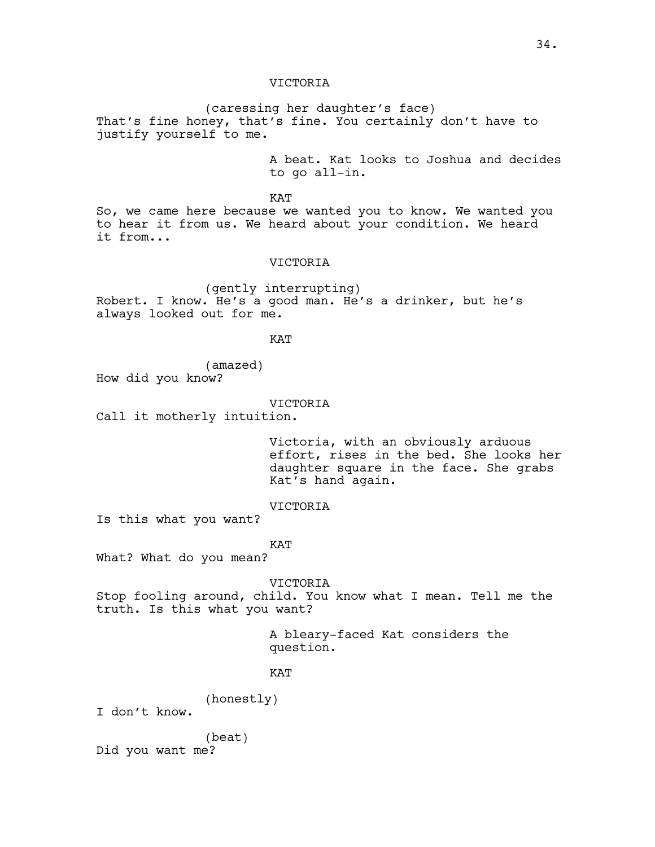(caressing her daughter's face) That's fine honey, that's fine. You certainly don't have to justify yourself to me.

> A beat. Kat looks to Joshua and decides to go all-in.

KAT

So, we came here because we wanted you to know. We wanted you to hear it from us. We heard about your condition. We heard it from...

### VICTORIA

(gently interrupting) Robert. I know. He's a good man. He's a drinker, but he's always looked out for me.

**KAT** 

(amazed) How did you know?

#### VICTORIA

Call it motherly intuition.

Victoria, with an obviously arduous effort, rises in the bed. She looks her daughter square in the face. She grabs Kat's hand again.

### VICTORIA

Is this what you want?

#### KAT

What? What do you mean?

VICTORIA

Stop fooling around, child. You know what I mean. Tell me the truth. Is this what you want?

> A bleary-faced Kat considers the question.

### **KAT**

(honestly)

I don't know.

(beat) Did you want me?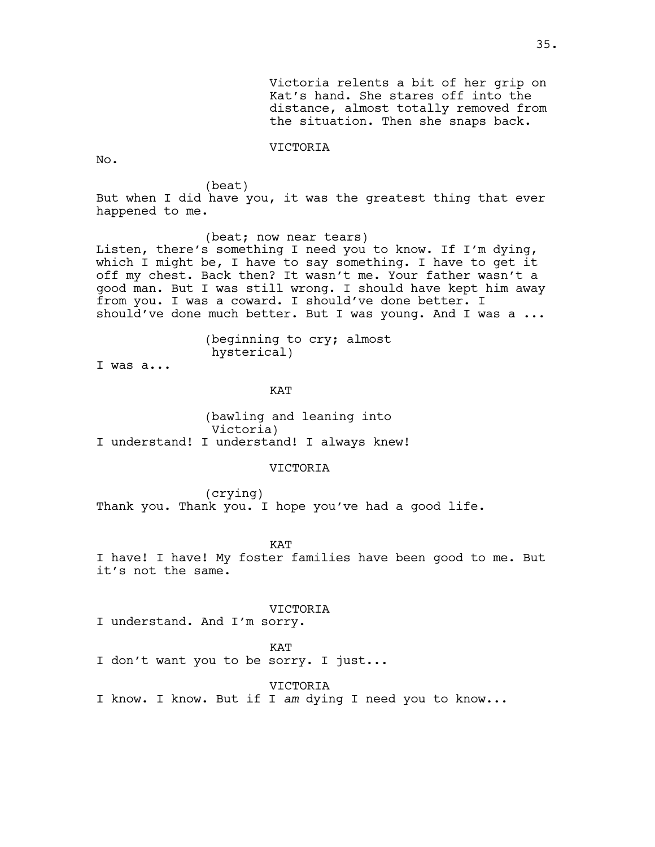No.

(beat)

But when I did have you, it was the greatest thing that ever happened to me.

(beat; now near tears) Listen, there's something I need you to know. If I'm dying, which I might be, I have to say something. I have to get it off my chest. Back then? It wasn't me. Your father wasn't a good man. But I was still wrong. I should have kept him away from you. I was a coward. I should've done better. I should've done much better. But I was young. And I was a ...

> (beginning to cry; almost hysterical)

I was a...

**KAT** 

(bawling and leaning into Victoria) I understand! I understand! I always knew!

### VICTORIA

(crying) Thank you. Thank you. I hope you've had a good life.

KAT

I have! I have! My foster families have been good to me. But it's not the same.

#### VICTORIA

I understand. And I'm sorry.

**KAT** 

I don't want you to be sorry. I just...

VICTORIA

I know. I know. But if I *am* dying I need you to know...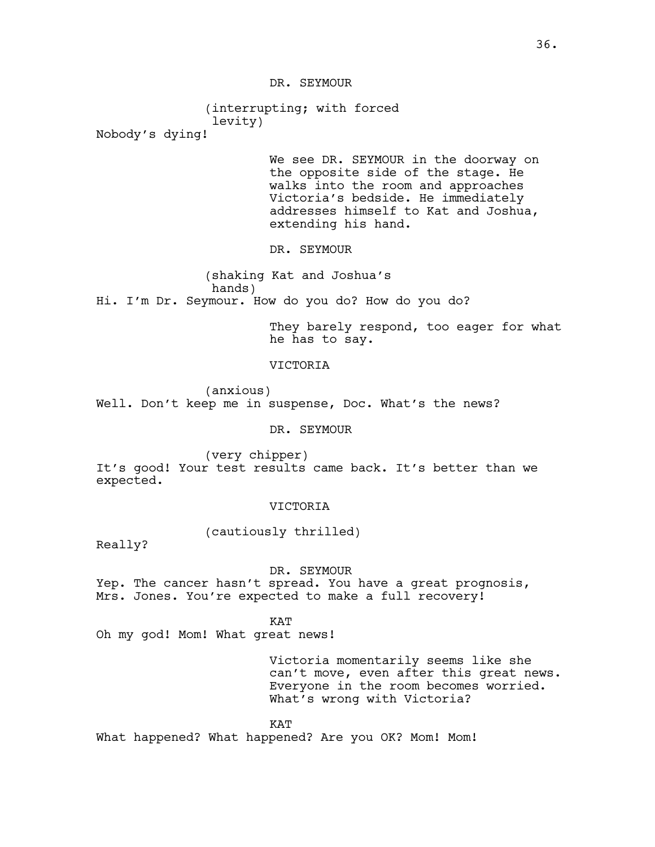DR. SEYMOUR

(interrupting; with forced levity)

Nobody's dying!

We see DR. SEYMOUR in the doorway on the opposite side of the stage. He walks into the room and approaches Victoria's bedside. He immediately addresses himself to Kat and Joshua, extending his hand.

DR. SEYMOUR

(shaking Kat and Joshua's hands) Hi. I'm Dr. Seymour. How do you do? How do you do?

> They barely respond, too eager for what he has to say.

## **VICTORIA**

(anxious) Well. Don't keep me in suspense, Doc. What's the news?

### DR. SEYMOUR

(very chipper) It's good! Your test results came back. It's better than we expected.

### VICTORIA

(cautiously thrilled)

Really?

### DR. SEYMOUR

Yep. The cancer hasn't spread. You have a great prognosis, Mrs. Jones. You're expected to make a full recovery!

KAT

Oh my god! Mom! What great news!

Victoria momentarily seems like she can't move, even after this great news. Everyone in the room becomes worried. What's wrong with Victoria?

#### KAT

What happened? What happened? Are you OK? Mom! Mom!